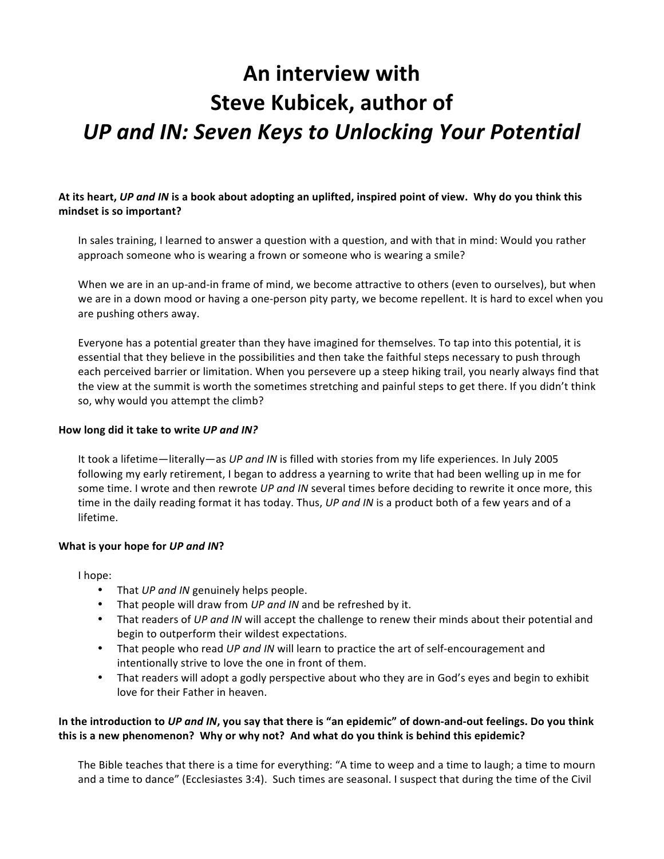# An interview with **Steve Kubicek, author of** *UP and IN: Seven Keys to Unlocking Your Potential*

# At its heart, *UP and IN* is a book about adopting an uplifted, inspired point of view. Why do you think this mindset is so important?

In sales training, I learned to answer a question with a question, and with that in mind: Would you rather approach someone who is wearing a frown or someone who is wearing a smile?

When we are in an up-and-in frame of mind, we become attractive to others (even to ourselves), but when we are in a down mood or having a one-person pity party, we become repellent. It is hard to excel when you are pushing others away.

Everyone has a potential greater than they have imagined for themselves. To tap into this potential, it is essential that they believe in the possibilities and then take the faithful steps necessary to push through each perceived barrier or limitation. When you persevere up a steep hiking trail, you nearly always find that the view at the summit is worth the sometimes stretching and painful steps to get there. If you didn't think so, why would you attempt the climb?

#### How long did it take to write UP and IN?

It took a lifetime—literally—as *UP and IN* is filled with stories from my life experiences. In July 2005 following my early retirement, I began to address a yearning to write that had been welling up in me for some time. I wrote and then rewrote *UP and IN* several times before deciding to rewrite it once more, this time in the daily reading format it has today. Thus, *UP and IN* is a product both of a few years and of a lifetime.

#### **What is your hope for UP and IN?**

I hope:

- That *UP and IN* genuinely helps people.
- That people will draw from UP and IN and be refreshed by it.
- That readers of UP and IN will accept the challenge to renew their minds about their potential and begin to outperform their wildest expectations.
- That people who read *UP and IN* will learn to practice the art of self-encouragement and intentionally strive to love the one in front of them.
- That readers will adopt a godly perspective about who they are in God's eyes and begin to exhibit love for their Father in heaven.

#### In the introduction to *UP and IN*, you say that there is "an epidemic" of down-and-out feelings. Do you think this is a new phenomenon? Why or why not? And what do you think is behind this epidemic?

The Bible teaches that there is a time for everything: "A time to weep and a time to laugh; a time to mourn and a time to dance" (Ecclesiastes 3:4). Such times are seasonal. I suspect that during the time of the Civil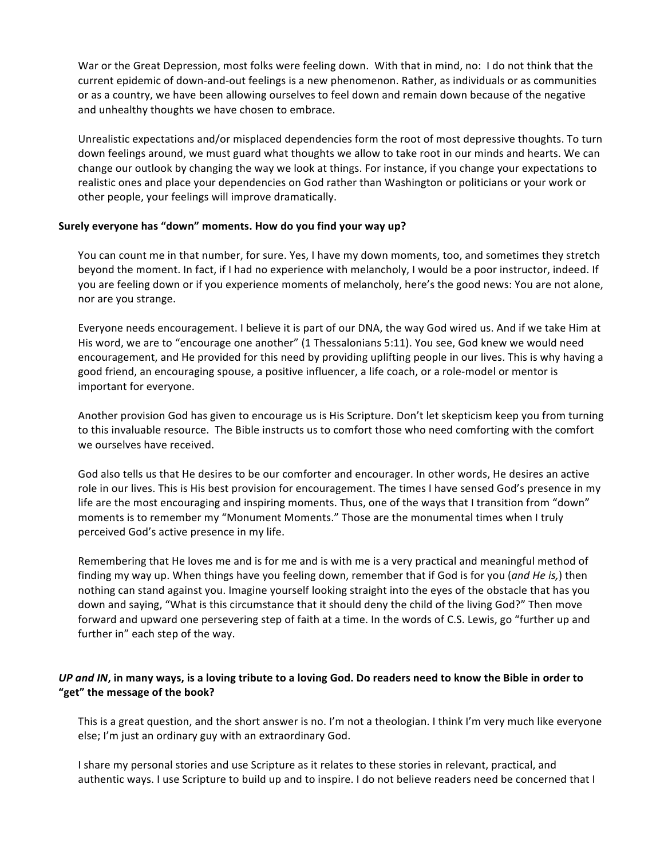War or the Great Depression, most folks were feeling down. With that in mind, no: I do not think that the current epidemic of down-and-out feelings is a new phenomenon. Rather, as individuals or as communities or as a country, we have been allowing ourselves to feel down and remain down because of the negative and unhealthy thoughts we have chosen to embrace.

Unrealistic expectations and/or misplaced dependencies form the root of most depressive thoughts. To turn down feelings around, we must guard what thoughts we allow to take root in our minds and hearts. We can change our outlook by changing the way we look at things. For instance, if you change your expectations to realistic ones and place your dependencies on God rather than Washington or politicians or your work or other people, your feelings will improve dramatically.

#### Surely everyone has "down" moments. How do you find your way up?

You can count me in that number, for sure. Yes, I have my down moments, too, and sometimes they stretch beyond the moment. In fact, if I had no experience with melancholy, I would be a poor instructor, indeed. If you are feeling down or if you experience moments of melancholy, here's the good news: You are not alone, nor are you strange.

Everyone needs encouragement. I believe it is part of our DNA, the way God wired us. And if we take Him at His word, we are to "encourage one another" (1 Thessalonians 5:11). You see, God knew we would need encouragement, and He provided for this need by providing uplifting people in our lives. This is why having a good friend, an encouraging spouse, a positive influencer, a life coach, or a role-model or mentor is important for everyone.

Another provision God has given to encourage us is His Scripture. Don't let skepticism keep you from turning to this invaluable resource. The Bible instructs us to comfort those who need comforting with the comfort we ourselves have received.

God also tells us that He desires to be our comforter and encourager. In other words, He desires an active role in our lives. This is His best provision for encouragement. The times I have sensed God's presence in my life are the most encouraging and inspiring moments. Thus, one of the ways that I transition from "down" moments is to remember my "Monument Moments." Those are the monumental times when I truly perceived God's active presence in my life.

Remembering that He loves me and is for me and is with me is a very practical and meaningful method of finding my way up. When things have you feeling down, remember that if God is for you (*and He is*,) then nothing can stand against you. Imagine yourself looking straight into the eyes of the obstacle that has you down and saying, "What is this circumstance that it should deny the child of the living God?" Then move forward and upward one persevering step of faith at a time. In the words of C.S. Lewis, go "further up and further in" each step of the way.

# *UP and IN*, in many ways, is a loving tribute to a loving God. Do readers need to know the Bible in order to "get" the message of the book?

This is a great question, and the short answer is no. I'm not a theologian. I think I'm very much like everyone else; I'm just an ordinary guy with an extraordinary God.

I share my personal stories and use Scripture as it relates to these stories in relevant, practical, and authentic ways. I use Scripture to build up and to inspire. I do not believe readers need be concerned that I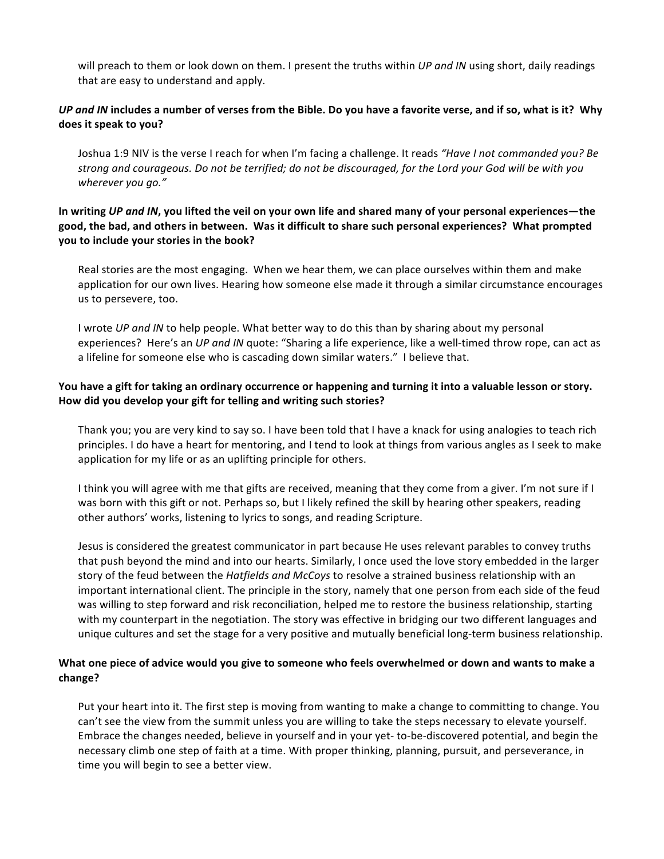will preach to them or look down on them. I present the truths within UP and IN using short, daily readings that are easy to understand and apply.

# UP and IN includes a number of verses from the Bible. Do you have a favorite verse, and if so, what is it? Why does it speak to you?

Joshua 1:9 NIV is the verse I reach for when I'm facing a challenge. It reads "Have I not commanded you? Be strong and courageous. Do not be terrified; do not be discouraged, for the Lord your God will be with you wherever you go."

# In writing UP and IN, you lifted the veil on your own life and shared many of your personal experiences—the good, the bad, and others in between. Was it difficult to share such personal experiences? What prompted you to include your stories in the book?

Real stories are the most engaging. When we hear them, we can place ourselves within them and make application for our own lives. Hearing how someone else made it through a similar circumstance encourages us to persevere, too.

I wrote UP and IN to help people. What better way to do this than by sharing about my personal experiences? Here's an UP and IN quote: "Sharing a life experience, like a well-timed throw rope, can act as a lifeline for someone else who is cascading down similar waters." I believe that.

# You have a gift for taking an ordinary occurrence or happening and turning it into a valuable lesson or story. How did you develop your gift for telling and writing such stories?

Thank you; you are very kind to say so. I have been told that I have a knack for using analogies to teach rich principles. I do have a heart for mentoring, and I tend to look at things from various angles as I seek to make application for my life or as an uplifting principle for others.

I think you will agree with me that gifts are received, meaning that they come from a giver. I'm not sure if I was born with this gift or not. Perhaps so, but I likely refined the skill by hearing other speakers, reading other authors' works, listening to lyrics to songs, and reading Scripture.

Jesus is considered the greatest communicator in part because He uses relevant parables to convey truths that push beyond the mind and into our hearts. Similarly, I once used the love story embedded in the larger story of the feud between the Hatfields and McCoys to resolve a strained business relationship with an important international client. The principle in the story, namely that one person from each side of the feud was willing to step forward and risk reconciliation, helped me to restore the business relationship, starting with my counterpart in the negotiation. The story was effective in bridging our two different languages and unique cultures and set the stage for a very positive and mutually beneficial long-term business relationship.

# What one piece of advice would you give to someone who feels overwhelmed or down and wants to make a change?

Put your heart into it. The first step is moving from wanting to make a change to committing to change. You can't see the view from the summit unless you are willing to take the steps necessary to elevate yourself. Embrace the changes needed, believe in yourself and in your yet-to-be-discovered potential, and begin the necessary climb one step of faith at a time. With proper thinking, planning, pursuit, and perseverance, in time you will begin to see a better view.